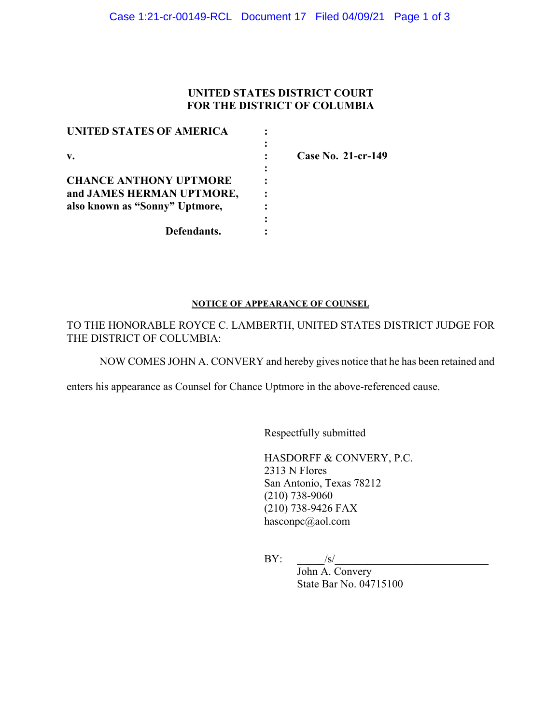## **UNITED STATES DISTRICT COURT FOR THE DISTRICT OF COLUMBIA**

| Case No. 21-cr-149 |
|--------------------|
|                    |
|                    |
|                    |
|                    |
|                    |
|                    |
|                    |

#### **NOTICE OF APPEARANCE OF COUNSEL**

TO THE HONORABLE ROYCE C. LAMBERTH, UNITED STATES DISTRICT JUDGE FOR THE DISTRICT OF COLUMBIA:

NOW COMES JOHN A. CONVERY and hereby gives notice that he has been retained and

enters his appearance as Counsel for Chance Uptmore in the above-referenced cause.

Respectfully submitted

HASDORFF & CONVERY, P.C. 2313 N Flores San Antonio, Texas 78212 (210) 738-9060 (210) 738-9426 FAX hasconpc@aol.com

 $BY: \qquad \qquad$  /s/

John A. Convery State Bar No. 04715100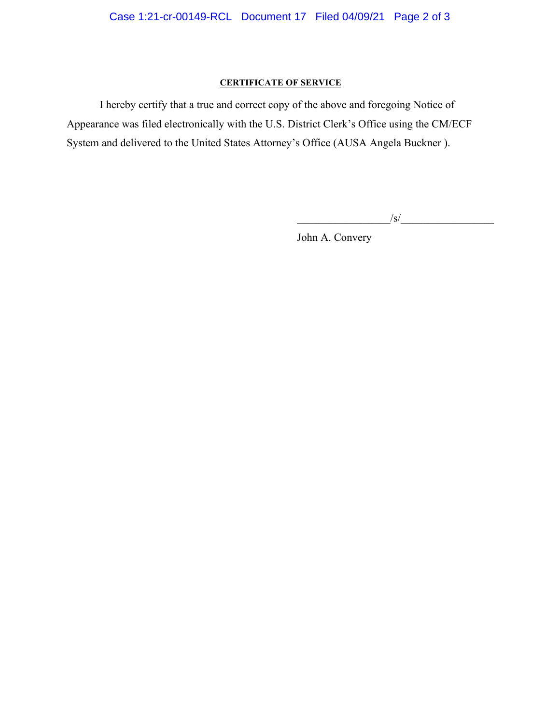# **CERTIFICATE OF SERVICE**

I hereby certify that a true and correct copy of the above and foregoing Notice of Appearance was filed electronically with the U.S. District Clerk's Office using the CM/ECF System and delivered to the United States Attorney's Office (AUSA Angela Buckner ).

 $\frac{1}{s}$ /s/ $\frac{1}{s}$ 

John A. Convery